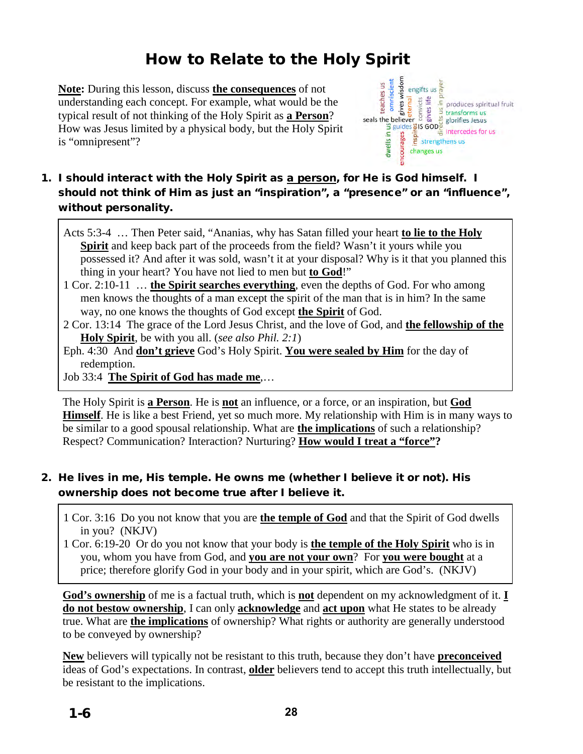How to Relate to the Holy Spirit<br>
lesson, discuss <u>the consequences</u> of not<br>
a concept. For example, what would be the<br>
t thinking of the Holy Spirit as **a Person**?<br>
lited by a physical body, but the Holy Spirit **Note:** During this lesson, discuss **the consequences** of not understanding each concept. For example, what would be the typical result of not thinking of the Holy Spirit as **a Person**? How was Jesus limited by a physical body, but the Holy Spirit is "omnipresent"?



# 1. I should interact with the Holy Spirit as a person, for He is God himself. I should not think of Him as just an "inspiration", a "presence" or an "influence", without personality.

Acts 5:3-4 … Then Peter said, "Ananias, why has Satan filled your heart **to lie to the Holy Spirit** and keep back part of the proceeds from the field? Wasn't it yours while you possessed it? And after it was sold, wasn't it at your disposal? Why is it that you planned this thing in your heart? You have not lied to men but **to God**!"

1 Cor. 2:10-11 … **the Spirit searches everything**, even the depths of God. For who among men knows the thoughts of a man except the spirit of the man that is in him? In the same way, no one knows the thoughts of God except **the Spirit** of God.

2 Cor. 13:14 The grace of the Lord Jesus Christ, and the love of God, and **the fellowship of the Holy Spirit**, be with you all. (*see also Phil. 2:1*)

Eph. 4:30 And **don't grieve** God's Holy Spirit. **You were sealed by Him** for the day of redemption.

Job 33:4 **The Spirit of God has made me**,…

The Holy Spirit is **a Person**. He is **not** an influence, or a force, or an inspiration, but **God Himself**. He is like a best Friend, yet so much more. My relationship with Him is in many ways to be similar to a good spousal relationship. What are **the implications** of such a relationship? Respect? Communication? Interaction? Nurturing? **How would I treat a "force"?**

# 2. He lives in me, His temple. He owns me (whether I believe it or not). His ownership does not become true after I believe it.

1 Cor. 3:16 Do you not know that you are **the temple of God** and that the Spirit of God dwells in you? (NKJV)

1 Cor. 6:19-20 Or do you not know that your body is **the temple of the Holy Spirit** who is in you, whom you have from God, and **you are not your own**? For **you were bought** at a price; therefore glorify God in your body and in your spirit, which are God's. (NKJV)

**God's ownership** of me is a factual truth, which is **not** dependent on my acknowledgment of it. **I do not bestow ownership**, I can only **acknowledge** and **act upon** what He states to be already true. What are **the implications** of ownership? What rights or authority are generally understood to be conveyed by ownership?

**New** believers will typically not be resistant to this truth, because they don't have **preconceived** ideas of God's expectations. In contrast, **older** believers tend to accept this truth intellectually, but be resistant to the implications.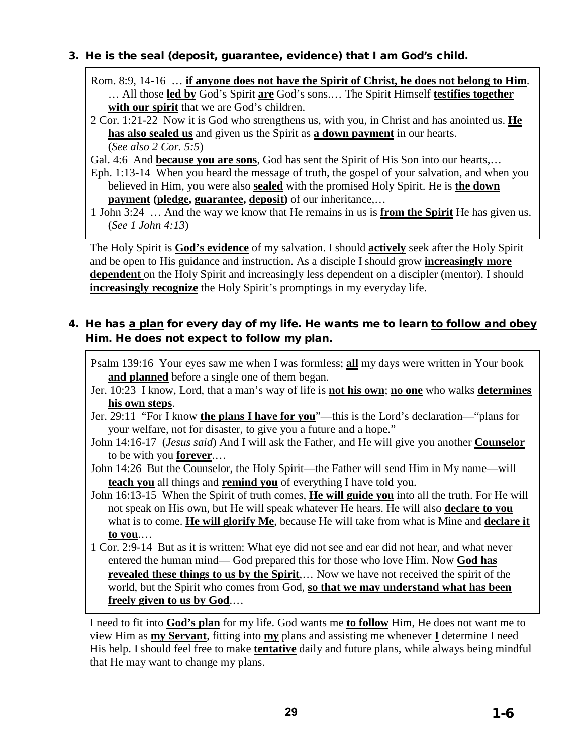#### 3. He is the seal (deposit, guarantee, evidence) that I am God's child.

- Rom. 8:9, 14-16 … **if anyone does not have the Spirit of Christ, he does not belong to Him**. … All those **led by** God's Spirit **are** God's sons.… The Spirit Himself **testifies together with our spirit** that we are God's children.
- 2 Cor. 1:21-22 Now it is God who strengthens us, with you, in Christ and has anointed us. **He has also sealed us** and given us the Spirit as **a down payment** in our hearts. (*See also 2 Cor. 5:5*)
- Gal. 4:6 And **because you are sons**, God has sent the Spirit of His Son into our hearts,…
- Eph. 1:13-14 When you heard the message of truth, the gospel of your salvation, and when you believed in Him, you were also **sealed** with the promised Holy Spirit. He is **the down payment** (pledge, guarantee, deposit) of our inheritance,...
- 1 John 3:24 … And the way we know that He remains in us is **from the Spirit** He has given us. (*See 1 John 4:13*)

The Holy Spirit is **God's evidence** of my salvation. I should **actively** seek after the Holy Spirit and be open to His guidance and instruction. As a disciple I should grow **increasingly more dependent** on the Holy Spirit and increasingly less dependent on a discipler (mentor). I should **increasingly recognize** the Holy Spirit's promptings in my everyday life.

## 4. He has a plan for every day of my life. He wants me to learn to follow and obey Him. He does not expect to follow my plan.

- Psalm 139:16 Your eyes saw me when I was formless; **all** my days were written in Your book **and planned** before a single one of them began.
- Jer. 10:23 I know, Lord, that a man's way of life is **not his own**; **no one** who walks **determines his own steps**.
- Jer. 29:11 "For I know **the plans I have for you**"—this is the Lord's declaration—"plans for your welfare, not for disaster, to give you a future and a hope."
- John 14:16-17 (*Jesus said*) And I will ask the Father, and He will give you another **Counselor** to be with you **forever**.…
- John 14:26 But the Counselor, the Holy Spirit—the Father will send Him in My name—will **teach you** all things and **remind you** of everything I have told you.
- John 16:13-15 When the Spirit of truth comes, **He will guide you** into all the truth. For He will not speak on His own, but He will speak whatever He hears. He will also **declare to you** what is to come. **He will glorify Me**, because He will take from what is Mine and **declare it to you**.…
- 1 Cor. 2:9-14 But as it is written: What eye did not see and ear did not hear, and what never entered the human mind— God prepared this for those who love Him. Now **God has revealed these things to us by the Spirit**,... Now we have not received the spirit of the world, but the Spirit who comes from God, **so that we may understand what has been freely given to us by God**.…

I need to fit into **God's plan** for my life. God wants me **to follow** Him, He does not want me to view Him as **my Servant**, fitting into **my** plans and assisting me whenever **I** determine I need His help. I should feel free to make **tentative** daily and future plans, while always being mindful that He may want to change my plans.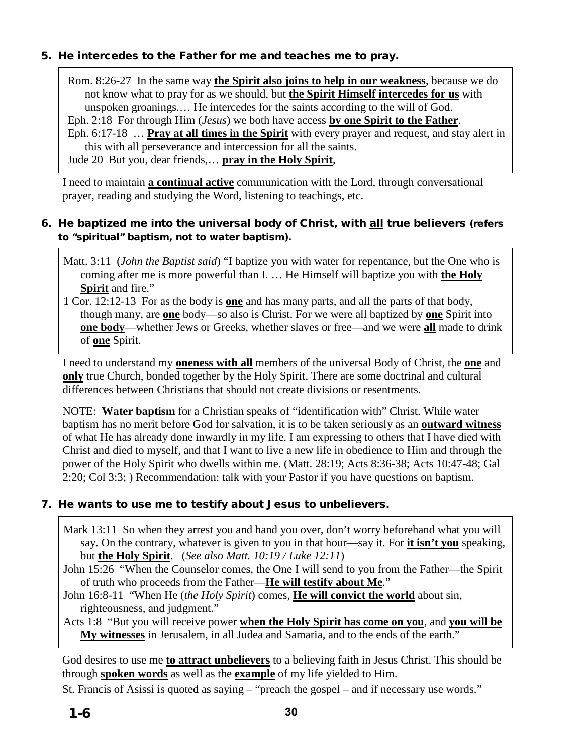#### 5. He intercedes to the Father for me and teaches me to pray.

Rom. 8:26-27 In the same way **the Spirit also joins to help in our weakness**, because we do not know what to pray for as we should, but **the Spirit Himself intercedes for us** with unspoken groanings.… He intercedes for the saints according to the will of God.

Eph. 2:18 For through Him (*Jesus*) we both have access **by one Spirit to the Father**.

Eph. 6:17-18 … **Pray at all times in the Spirit** with every prayer and request, and stay alert in this with all perseverance and intercession for all the saints.

Jude 20 But you, dear friends,… **pray in the Holy Spirit**,

I need to maintain **a continual active** communication with the Lord, through conversational prayer, reading and studying the Word, listening to teachings, etc.

### 6. He baptized me into the universal body of Christ, with all true believers (refers to "spiritual" baptism, not to water baptism).

- Matt. 3:11 (*John the Baptist said*) "I baptize you with water for repentance, but the One who is coming after me is more powerful than I. … He Himself will baptize you with **the Holy Spirit** and fire."
- 1 Cor. 12:12-13 For as the body is **one** and has many parts, and all the parts of that body, though many, are **one** body—so also is Christ. For we were all baptized by **one** Spirit into **one body**—whether Jews or Greeks, whether slaves or free—and we were **all** made to drink of **one** Spirit.

I need to understand my **oneness with all** members of the universal Body of Christ, the **one** and **only** true Church, bonded together by the Holy Spirit. There are some doctrinal and cultural differences between Christians that should not create divisions or resentments.

NOTE: **Water baptism** for a Christian speaks of "identification with" Christ. While water baptism has no merit before God for salvation, it is to be taken seriously as an **outward witness** of what He has already done inwardly in my life. I am expressing to others that I have died with Christ and died to myself, and that I want to live a new life in obedience to Him and through the power of the Holy Spirit who dwells within me. (Matt. 28:19; Acts 8:36-38; Acts 10:47-48; Gal 2:20; Col 3:3; ) Recommendation: talk with your Pastor if you have questions on baptism.

# 7. He wants to use me to testify about Jesus to unbelievers.

- Mark 13:11 So when they arrest you and hand you over, don't worry beforehand what you will say. On the contrary, whatever is given to you in that hour—say it. For **it isn't you** speaking, but **the Holy Spirit**.(*See also Matt. 10:19 / Luke 12:11*)
- John 15:26 "When the Counselor comes, the One I will send to you from the Father—the Spirit of truth who proceeds from the Father—**He will testify about Me**."
- John 16:8-11 "When He (*the Holy Spirit*) comes, **He will convict the world** about sin, righteousness, and judgment."

Acts 1:8 "But you will receive power **when the Holy Spirit has come on you**, and **you will be My witnesses** in Jerusalem, in all Judea and Samaria, and to the ends of the earth."

God desires to use me **to attract unbelievers** to a believing faith in Jesus Christ. This should be through **spoken words** as well as the **example** of my life yielded to Him.

St. Francis of Asissi is quoted as saying – "preach the gospel – and if necessary use words."